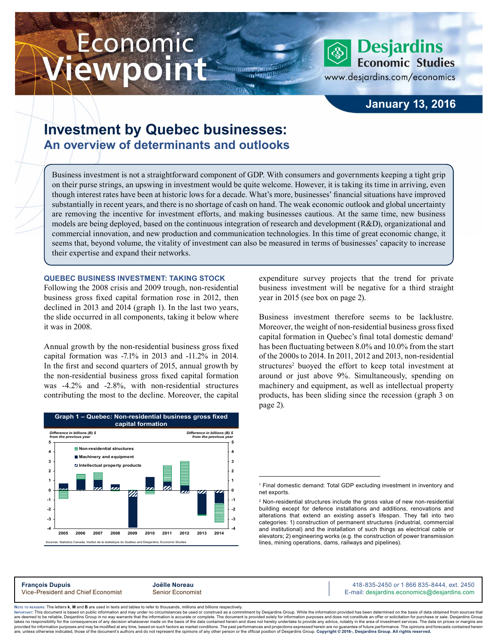# Economic ewpoint



www.desjardins.com/economics

## **January 13, 2016**

# **Investment by Quebec businesses: An overview of determinants and outlooks**

Business investment is not a straightforward component of GDP. With consumers and governments keeping a tight grip on their purse strings, an upswing in investment would be quite welcome. However, it is taking its time in arriving, even though interest rates have been at historic lows for a decade. What's more, businesses' financial situations have improved substantially in recent years, and there is no shortage of cash on hand. The weak economic outlook and global uncertainty are removing the incentive for investment efforts, and making businesses cautious. At the same time, new business models are being deployed, based on the continuous integration of research and development (R&D), organizational and commercial innovation, and new production and communication technologies. In this time of great economic change, it seems that, beyond volume, the vitality of investment can also be measured in terms of businesses' capacity to increase their expertise and expand their networks.

**TH** 

**QUEBEC BUSINESS INVESTMENT: TAKING STOCK** 

Following the 2008 crisis and 2009 trough, non-residential business gross fixed capital formation rose in 2012, then declined in 2013 and 2014 (graph 1). In the last two years, the slide occurred in all components, taking it below where it was in 2008.

Annual growth by the non-residential business gross fixed capital formation was -7.1% in 2013 and -11.2% in 2014. In the first and second quarters of 2015, annual growth by the non-residential business gross fixed capital formation was -4.2% and -2.8%, with non-residential structures contributing the most to the decline. Moreover, the capital



expenditure survey projects that the trend for private business investment will be negative for a third straight year in 2015 (see box on page 2).

Business investment therefore seems to be lacklustre. Moreover, the weight of non-residential business gross fixed capital formation in Quebec's final total domestic demand<sup>1</sup> has been fluctuating between 8.0% and 10.0% from the start of the 2000s to 2014. In 2011, 2012 and 2013, non-residential structures<sup>2</sup> buoyed the effort to keep total investment at around or just above 9%. Simultaneously, spending on machinery and equipment, as well as intellectual property products, has been sliding since the recession (graph 3 on page 2).

E-mail: desjardins.economics@desjardins.com

**François Dupuis**<br>
Vice-President and Chief Economist **Senior Economist** Allen Communisty Chief Books and Museum Senior Senior Economist Chief Books and Allen Senior Economist **Senior Economist** Allen E-mail: desiardins.ec

Noте то келоекs: The letters **k, M** and **B** are used in texts and tables to refer to thousands, millions and billions respectively.<br>Імроктлит: This document is based on public information and may under no circumstances be are deemed to be reliable. Desiardins Group in no way warrants that the information is accurate or complete. The document is provided solely for information purposes and does not constitute an offer or solicitation for pur takes no responsibility for the consequences of any decision whatsoever made on the basis of the data contained herein and does not hereby undertake to provide any advice, notably in the area of investment services. The da .<br>are, unless otherwise indicated, those of the document's authors and do not represent the opinions of any other person or the official position of Desjardins Group. Copyright @ 2016-, Desjardins Group. All rights reserve

<sup>1</sup> Final domestic demand: Total GDP excluding investment in inventory and net exports.

<sup>2</sup> Non-residential structures include the gross value of new non-residential building except for defence installations and additions, renovations and alterations that extend an existing asset's lifespan. They fall into two categories: 1) construction of permanent structures (industrial, commercial and institutional) and the installation of such things as electrical cable or elevators; 2) engineering works (e.g. the construction of power transmission lines, mining operations, dams, railways and pipelines).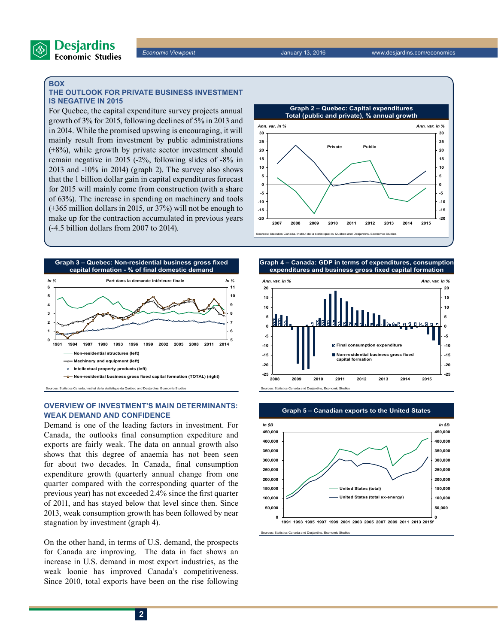

#### **BOX**

#### **THE OUTLOOK FOR PRIVATE BUSINESS INVESTMENT IS NEGATIVE IN 2015**

For Quebec, the capital expenditure survey projects annual growth of 3% for 2015, following declines of 5% in 2013 and in 2014. While the promised upswing is encouraging, it will mainly result from investment by public administrations (+8%), while growth by private sector investment should remain negative in 2015 (-2%, following slides of -8% in 2013 and -10% in 2014) (graph 2). The survey also shows that the 1 billion dollar gain in capital expenditures forecast for 2015 will mainly come from construction (with a share of 63%). The increase in spending on machinery and tools (+365 million dollars in 2015, or 37%) will not be enough to make up for the contraction accumulated in previous years (-4.5 billion dollars from 2007 to 2014).



#### **OVERVIEW OF INVESTMENT'S MAIN DETERMINANTS: WEAK DEMAND AND CONFIDENCE**

Demand is one of the leading factors in investment. For Canada, the outlooks final consumption expediture and exports are fairly weak. The data on annual growth also shows that this degree of anaemia has not been seen for about two decades. In Canada, final consumption expenditure growth (quarterly annual change from one quarter compared with the corresponding quarter of the previous year) has not exceeded 2.4% since the first quarter of 2011, and has stayed below that level since then. Since 2013, weak consumption growth has been followed by near stagnation by investment (graph 4).

On the other hand, in terms of U.S. demand, the prospects for Canada are improving. The data in fact shows an increase in U.S. demand in most export industries, as the weak loonie has improved Canada's competitiveness. Since 2010, total exports have been on the rise following



**Graph 4 – Canada: GDP in terms of expenditures, consumption expenditures and business gross fixed capital formation**





da and Desjardins, Eco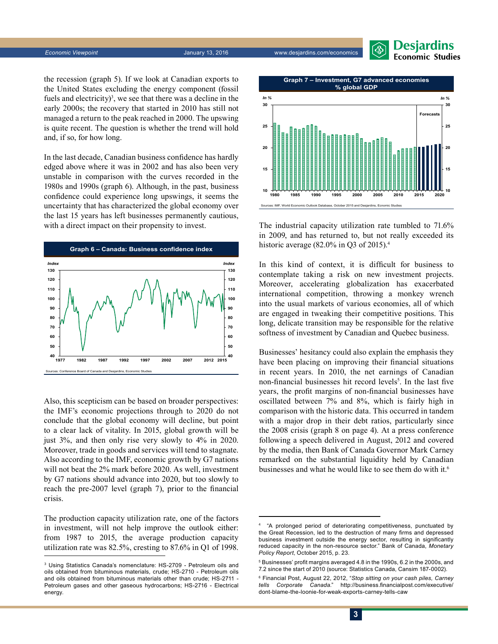

*Economic Viewpoint* January 13, 2016 www.desjardins.com/economics



the recession (graph 5). If we look at Canadian exports to the United States excluding the energy component (fossil fuels and electricity)<sup>3</sup>, we see that there was a decline in the early 2000s; the recovery that started in 2010 has still not managed a return to the peak reached in 2000. The upswing is quite recent. The question is whether the trend will hold and, if so, for how long.

In the last decade, Canadian business confidence has hardly edged above where it was in 2002 and has also been very unstable in comparison with the curves recorded in the 1980s and 1990s (graph 6). Although, in the past, business confidence could experience long upswings, it seems the uncertainty that has characterized the global economy over the last 15 years has left businesses permanently cautious, with a direct impact on their propensity to invest.



Also, this scepticism can be based on broader perspectives: the IMF's economic projections through to 2020 do not conclude that the global economy will decline, but point to a clear lack of vitality. In 2015, global growth will be just 3%, and then only rise very slowly to 4% in 2020. Moreover, trade in goods and services will tend to stagnate. Also according to the IMF, economic growth by G7 nations will not beat the 2% mark before 2020. As well, investment by G7 nations should advance into 2020, but too slowly to reach the pre-2007 level (graph 7), prior to the financial crisis.

The production capacity utilization rate, one of the factors in investment, will not help improve the outlook either: from 1987 to 2015, the average production capacity utilization rate was 82.5%, cresting to 87.6% in Q1 of 1998.



The industrial capacity utilization rate tumbled to 71.6% in 2009, and has returned to, but not really exceeded its historic average (82.0% in Q3 of 2015).<sup>4</sup>

In this kind of context, it is difficult for business to contemplate taking a risk on new investment projects. Moreover, accelerating globalization has exacerbated international competition, throwing a monkey wrench into the usual markets of various economies, all of which are engaged in tweaking their competitive positions. This long, delicate transition may be responsible for the relative softness of investment by Canadian and Quebec business.

Businesses' hesitancy could also explain the emphasis they have been placing on improving their financial situations in recent years. In 2010, the net earnings of Canadian non-financial businesses hit record levels<sup>5</sup>. In the last five years, the profit margins of non-financial businesses have oscillated between 7% and 8%, which is fairly high in comparison with the historic data. This occurred in tandem with a major drop in their debt ratios, particularly since the 2008 crisis (graph 8 on page 4). At a press conference following a speech delivered in August, 2012 and covered by the media, then Bank of Canada Governor Mark Carney remarked on the substantial liquidity held by Canadian businesses and what he would like to see them do with it.<sup>6</sup>

<sup>3</sup> Using Statistics Canada's nomenclature: HS-2709 - Petroleum oils and oils obtained from bituminous materials, crude; HS-2710 - Petroleum oils and oils obtained from bituminous materials other than crude; HS-2711 - Petroleum gases and other gaseous hydrocarbons; HS-2716 - Electrical energy.

<sup>4</sup> "A prolonged period of deteriorating competitiveness, punctuated by the Great Recession, led to the destruction of many firms and depressed business investment outside the energy sector, resulting in significantly reduced capacity in the non-resource sector." Bank of Canada, *Monetary Policy Report*, October 2015, p. 23.

<sup>5</sup> Businesses' profit margins averaged 4.8 in the 1990s, 6.2 in the 2000s, and 7.2 since the start of 2010 (source: Statistics Canada, Cansim 187-0002).

<sup>6</sup> Financial Post, August 22, 2012, "*Stop sitting on your cash piles, Carney tells Corporate Canada*." http://business.financialpost.com/executive/ dont-blame-the-loonie-for-weak-exports-carney-tells-caw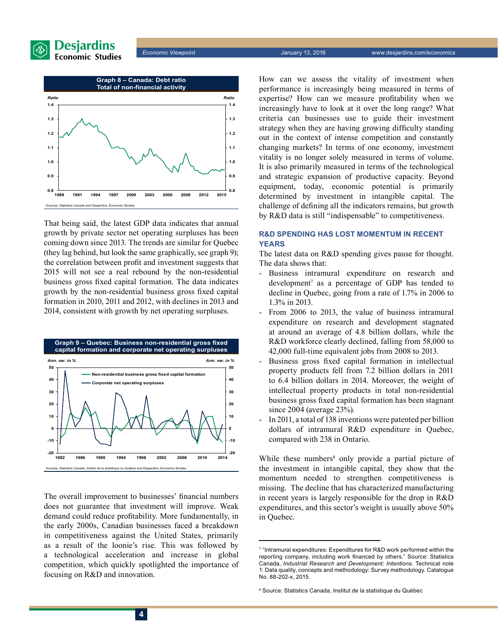

*Economic Viewpoint* January 13, 2016 www.desjardins.com/economics



That being said, the latest GDP data indicates that annual growth by private sector net operating surpluses has been coming down since 2013. The trends are similar for Quebec (they lag behind, but look the same graphically, see graph 9); the correlation between profit and investment suggests that 2015 will not see a real rebound by the non-residential business gross fixed capital formation. The data indicates growth by the non-residential business gross fixed capital formation in 2010, 2011 and 2012, with declines in 2013 and 2014, consistent with growth by net operating surpluses.



The overall improvement to businesses' financial numbers does not guarantee that investment will improve. Weak demand could reduce profitability. More fundamentally, in the early 2000s, Canadian businesses faced a breakdown in competitiveness against the United States, primarily as a result of the loonie's rise. This was followed by a technological acceleration and increase in global competition, which quickly spotlighted the importance of focusing on R&D and innovation.

How can we assess the vitality of investment when performance is increasingly being measured in terms of expertise? How can we measure profitability when we increasingly have to look at it over the long range? What criteria can businesses use to guide their investment strategy when they are having growing difficulty standing out in the context of intense competition and constantly changing markets? In terms of one economy, investment vitality is no longer solely measured in terms of volume. It is also primarily measured in terms of the technological and strategic expansion of productive capacity. Beyond equipment, today, economic potential is primarily determined by investment in intangible capital. The challenge of defining all the indicators remains, but growth by R&D data is still "indispensable" to competitiveness.

### **R&D SPENDING HAS LOST MOMENTUM IN RECENT YEARS**

The latest data on R&D spending gives pause for thought. The data shows that:

- Business intramural expenditure on research and development<sup>7</sup> as a percentage of GDP has tended to decline in Quebec, going from a rate of 1.7% in 2006 to 1.3% in 2013.
- From 2006 to 2013, the value of business intramural expenditure on research and development stagnated at around an average of 4.8 billion dollars, while the R&D workforce clearly declined, falling from 58,000 to 42,000 full-time equivalent jobs from 2008 to 2013.
- Business gross fixed capital formation in intellectual property products fell from 7.2 billion dollars in 2011 to 6.4 billion dollars in 2014. Moreover, the weight of intellectual property products in total non-residential business gross fixed capital formation has been stagnant since 2004 (average 23%).
- In 2011, a total of 138 inventions were patented per billion dollars of intramural R&D expenditure in Quebec, compared with 238 in Ontario.

While these numbers<sup>8</sup> only provide a partial picture of the investment in intangible capital, they show that the momentum needed to strengthen competitiveness is missing. The decline that has characterized manufacturing in recent years is largely responsible for the drop in R&D expenditures, and this sector's weight is usually above 50% in Quebec.

<sup>7</sup> "Intramural expenditures: Expenditures for R&D work performed within the reporting company, including work financed by others." Source: Statistics Canada, *Industrial Research and Development: Intentions*. Technical note 1: Data quality, concepts and methodology: Survey methodology. Catalogue No. 88-202-x, 2015.

<sup>8</sup> Source: Statistics Canada, Institut de la statistique du Québec